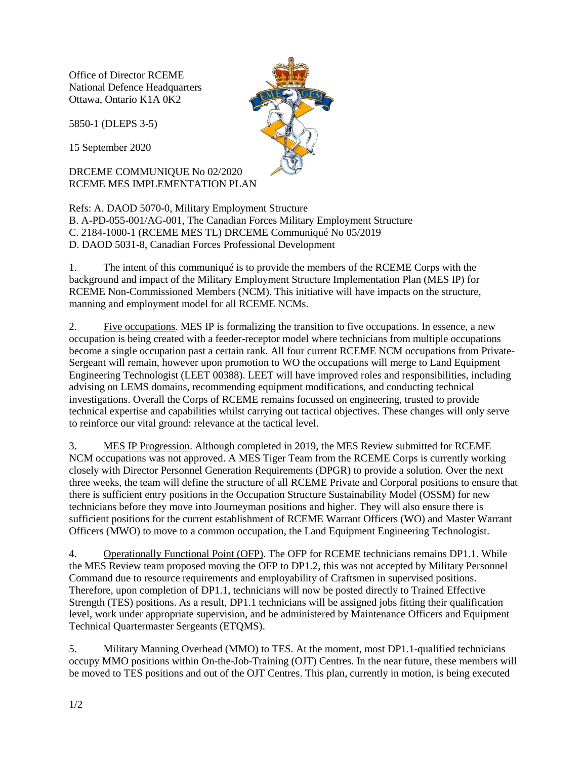Office of Director RCEME National Defence Headquarters Ottawa, Ontario K1A 0K2

5850-1 (DLEPS 3-5)

15 September 2020

## DRCEME COMMUNIQUE No 02/2020 RCEME MES IMPLEMENTATION PLAN

Refs: A. DAOD 5070-0, Military Employment Structure B. A-PD-055-001/AG-001, The Canadian Forces Military Employment Structure C. 2184-1000-1 (RCEME MES TL) DRCEME Communiqué No 05/2019 D. DAOD 5031-8, Canadian Forces Professional Development

1. The intent of this communiqué is to provide the members of the RCEME Corps with the background and impact of the Military Employment Structure Implementation Plan (MES IP) for RCEME Non-Commissioned Members (NCM). This initiative will have impacts on the structure, manning and employment model for all RCEME NCMs.

2. Five occupations. MES IP is formalizing the transition to five occupations. In essence, a new occupation is being created with a feeder-receptor model where technicians from multiple occupations become a single occupation past a certain rank. All four current RCEME NCM occupations from Private-Sergeant will remain, however upon promotion to WO the occupations will merge to Land Equipment Engineering Technologist (LEET 00388). LEET will have improved roles and responsibilities, including advising on LEMS domains, recommending equipment modifications, and conducting technical investigations. Overall the Corps of RCEME remains focussed on engineering, trusted to provide technical expertise and capabilities whilst carrying out tactical objectives. These changes will only serve to reinforce our vital ground: relevance at the tactical level.

3. MES IP Progression. Although completed in 2019, the MES Review submitted for RCEME NCM occupations was not approved. A MES Tiger Team from the RCEME Corps is currently working closely with Director Personnel Generation Requirements (DPGR) to provide a solution. Over the next three weeks, the team will define the structure of all RCEME Private and Corporal positions to ensure that there is sufficient entry positions in the Occupation Structure Sustainability Model (OSSM) for new technicians before they move into Journeyman positions and higher. They will also ensure there is sufficient positions for the current establishment of RCEME Warrant Officers (WO) and Master Warrant Officers (MWO) to move to a common occupation, the Land Equipment Engineering Technologist.

4. Operationally Functional Point (OFP). The OFP for RCEME technicians remains DP1.1. While the MES Review team proposed moving the OFP to DP1.2, this was not accepted by Military Personnel Command due to resource requirements and employability of Craftsmen in supervised positions. Therefore, upon completion of DP1.1, technicians will now be posted directly to Trained Effective Strength (TES) positions. As a result, DP1.1 technicians will be assigned jobs fitting their qualification level, work under appropriate supervision, and be administered by Maintenance Officers and Equipment Technical Quartermaster Sergeants (ETQMS).

5. Military Manning Overhead (MMO) to TES. At the moment, most DP1.1-qualified technicians occupy MMO positions within On-the-Job-Training (OJT) Centres. In the near future, these members will be moved to TES positions and out of the OJT Centres. This plan, currently in motion, is being executed